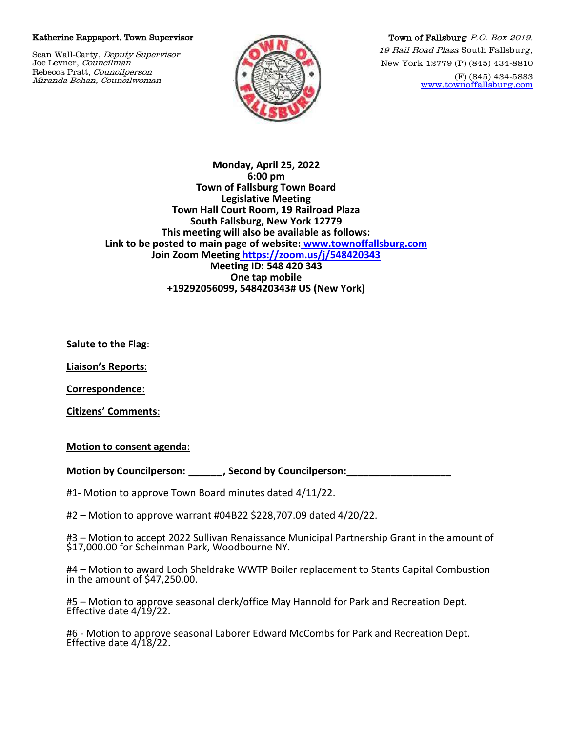## Katherine Rappaport, Town Supervisor

Sean Wall-Carty, Deputy Supervisor Joe Levner, Councilman Rebecca Pratt, Councilperson Miranda Behan, Councilwoman



Town of Fallsburg P.O. Box 2019, 19 Rail Road Plaza South Fallsburg, New York 12779 (P) (845) 434-8810 (F) (845) 434-5883 [www.townoffallsburg.com](http://www.townoffallsburg.com/)

**Monday, April 25, 2022 6:00 pm Town of Fallsburg Town Board Legislative Meeting Town Hall Court Room, 19 Railroad Plaza South Fallsburg, New York 12779 This meeting will also be available as follows: Link to be posted to main page of website: [www.townoffallsburg.com](http://www.townoffallsburg.com/)  Join Zoom Meeting <https://zoom.us/j/548420343> Meeting ID: 548 420 343 One tap mobile +19292056099, 548420343# US (New York)**

**Salute to the Flag**:

**Liaison's Reports**:

**Correspondence**:

**Citizens' Comments**:

**Motion to consent agenda**:

**Motion by Councilperson: \_\_\_\_\_\_, Second by Councilperson:\_\_\_\_\_\_\_\_\_\_\_\_\_\_\_\_\_\_\_**

#1- Motion to approve Town Board minutes dated 4/11/22.

#2 – Motion to approve warrant #04B22 \$228,707.09 dated 4/20/22.

#3 – Motion to accept 2022 Sullivan Renaissance Municipal Partnership Grant in the amount of \$17,000.00 for Scheinman Park, Woodbourne NY.

#4 – Motion to award Loch Sheldrake WWTP Boiler replacement to Stants Capital Combustion in the amount of \$47,250.00.

#5 – Motion to approve seasonal clerk/office May Hannold for Park and Recreation Dept. Effective date 4/19/22.

#6 - Motion to approve seasonal Laborer Edward McCombs for Park and Recreation Dept. Effective date 4/18/22.